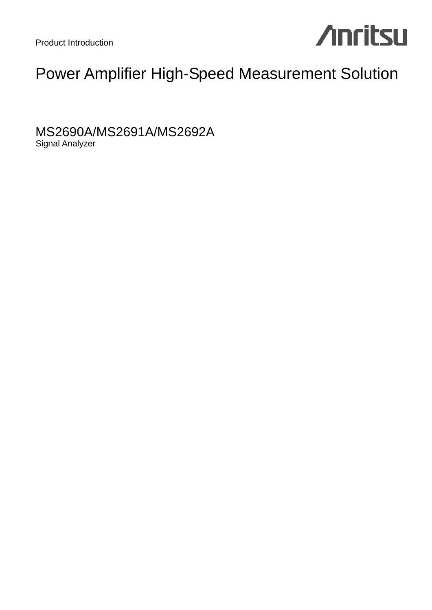

### Power Amplifier High-Speed Measurement Solution

MS2690A/MS2691A/MS2692A Signal Analyzer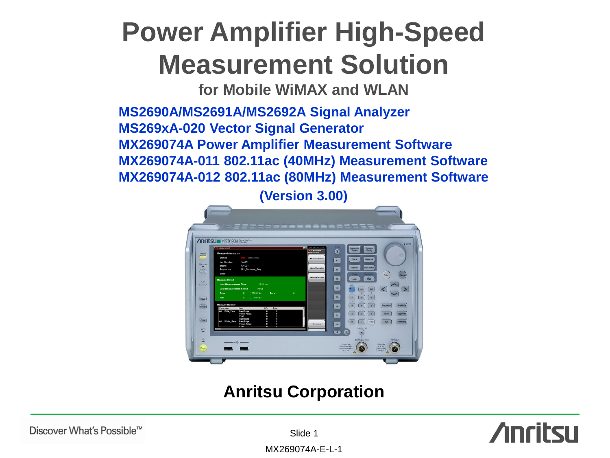## **Power Amplifier High-Speed Measurement Solution**

**for Mobile WiMAX and WLAN** 

**MS2690A/MS2691A/MS2692A Signal Analyzer MS269xA-020 Vector Signal Generator MX269074A Power Amplifier Measurement Software MX269074A-011 802.11ac (40MHz) Measurement Software MX269074A-012 802.11ac (80MHz) Measurement Software**

**(Version 3.00)**



### **Anritsu Corporation**

Discover What's Possible™

Slide 1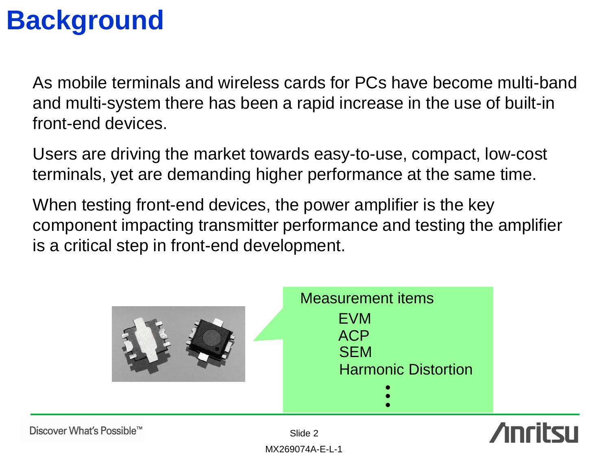### **Background**

As mobile terminals and wireless cards for PCs have become multi-band and multi-system there has been a rapid increase in the use of built-in front-end devices.

Users are driving the market towards easy-to-use, compact, low-cost terminals, yet are demanding higher performance at the same time.

When testing front-end devices, the power amplifier is the key component impacting transmitter performance and testing the amplifier is a critical step in front-end development.





Discover What's Possible™

Slide 2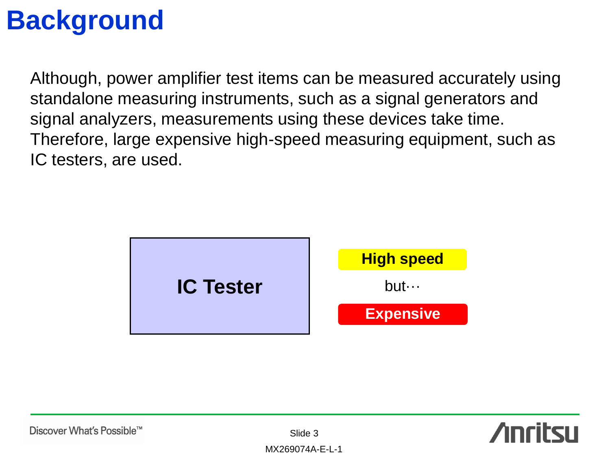### **Background**

Although, power amplifier test items can be measured accurately using standalone measuring instruments, such as a signal generators and signal analyzers, measurements using these devices take time. Therefore, large expensive high-speed measuring equipment, such as IC testers, are used.



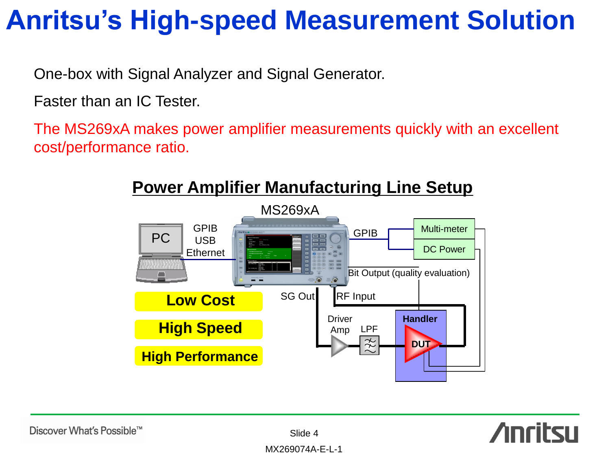## **Anritsu's High-speed Measurement Solution**

One-box with Signal Analyzer and Signal Generator.

Faster than an IC Tester.

The MS269xA makes power amplifier measurements quickly with an excellent cost/performance ratio.





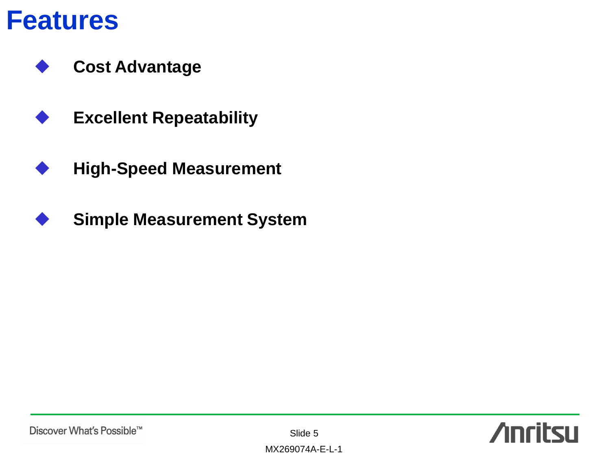

**Cost Advantage**

- **Excellent Repeatability**
- **High-Speed Measurement**
- **Simple Measurement System**

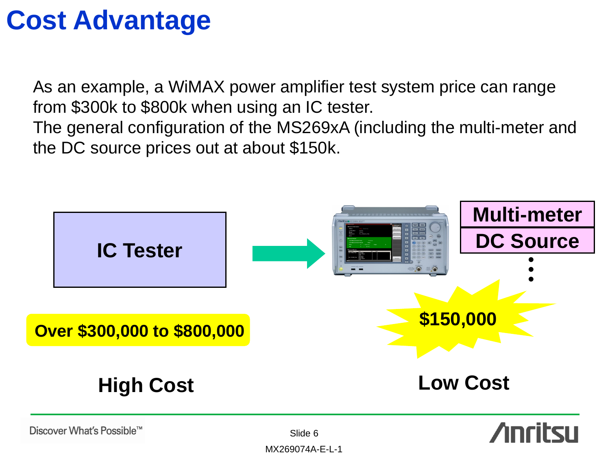## **Cost Advantage**

As an example, a WiMAX power amplifier test system price can range from \$300k to \$800k when using an IC tester.

The general configuration of the MS269xA (including the multi-meter and the DC source prices out at about \$150k.

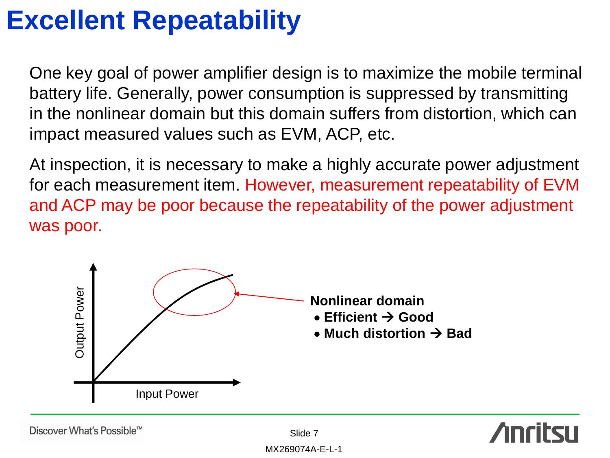One key goal of power amplifier design is to maximize the mobile terminal battery life. Generally, power consumption is suppressed by transmitting in the nonlinear domain but this domain suffers from distortion, which can impact measured values such as EVM, ACP, etc.

At inspection, it is necessary to make a highly accurate power adjustment for each measurement item. However, measurement repeatability of EVM and ACP may be poor because the repeatability of the power adjustment was poor.



Discover What's Possible™

Slide 7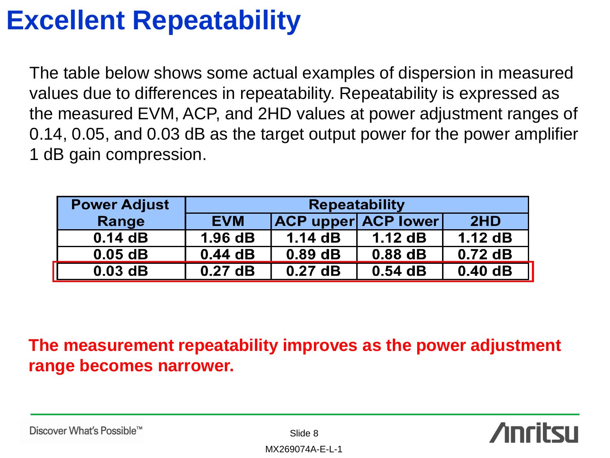The table below shows some actual examples of dispersion in measured values due to differences in repeatability. Repeatability is expressed as the measured EVM, ACP, and 2HD values at power adjustment ranges of 0.14, 0.05, and 0.03 dB as the target output power for the power amplifier 1 dB gain compression.

| <b>Power Adjust</b> | <b>Repeatability</b> |                            |           |           |  |  |  |
|---------------------|----------------------|----------------------------|-----------|-----------|--|--|--|
| Range               | <b>EVM</b>           | <b>ACP upper ACP lower</b> |           | 2HD       |  |  |  |
| 0.14dB              | 1.96dB               | 1.14dB                     | 1.12dB    | 1.12dB    |  |  |  |
| $0.05$ dB           | 0.44dB               | $0.89$ dB                  | $0.88$ dB | $0.72$ dB |  |  |  |
| $0.03$ dB           | $0.27$ dB            | $0.27$ dB                  | $0.54$ dB | 0.40dB    |  |  |  |

**The measurement repeatability improves as the power adjustment range becomes narrower.**



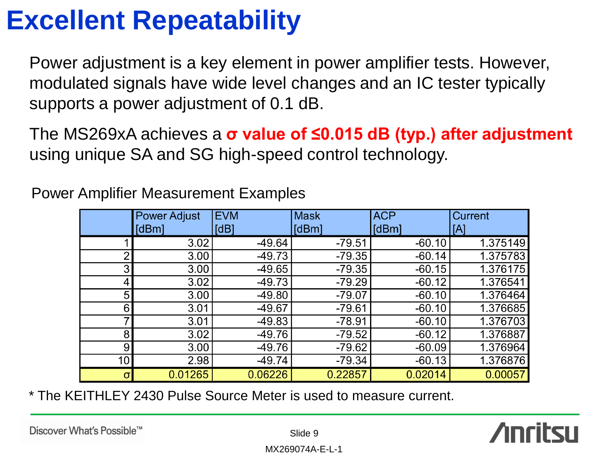Power adjustment is a key element in power amplifier tests. However, modulated signals have wide level changes and an IC tester typically supports a power adjustment of 0.1 dB.

The MS269xA achieves a **σ value of ≤0.015 dB (typ.) after adjustment**  using unique SA and SG high-speed control technology.

|                 | <b>Power Adjust</b> | <b>EVM</b> | <b>Mask</b> | <b>ACP</b> | Current  |
|-----------------|---------------------|------------|-------------|------------|----------|
|                 | [dBm]               | [dB]       | [dBm]       | [dBm]      | [A]      |
|                 | 3.02                | $-49.64$   | $-79.51$    | $-60.10$   | 1.375149 |
| $\overline{2}$  | 3.00                | $-49.73$   | $-79.35$    | $-60.14$   | 1.375783 |
| 3               | 3.00                | $-49.65$   | $-79.35$    | $-60.15$   | 1.376175 |
| 4               | 3.02                | $-49.73$   | $-79.29$    | $-60.12$   | 1.376541 |
| 5               | 3.00                | $-49.80$   | $-79.07$    | $-60.10$   | 1.376464 |
| 6               | 3.01                | $-49.67$   | $-79.61$    | $-60.10$   | 1.376685 |
| 7               | 3.01                | $-49.83$   | $-78.91$    | $-60.10$   | 1.376703 |
| 8               | 3.02                | $-49.76$   | $-79.52$    | $-60.12$   | 1.376887 |
| 9               | 3.00                | $-49.76$   | $-79.62$    | $-60.09$   | 1.376964 |
| 10 <sup>1</sup> | 2.98                | $-49.74$   | $-79.34$    | $-60.13$   | 1.376876 |
| $\sigma$        | 0.01265             | 0.06226    | 0.22857     | 0.02014    | 0.00057  |

Power Amplifier Measurement Examples

\* The KEITHLEY 2430 Pulse Source Meter is used to measure current.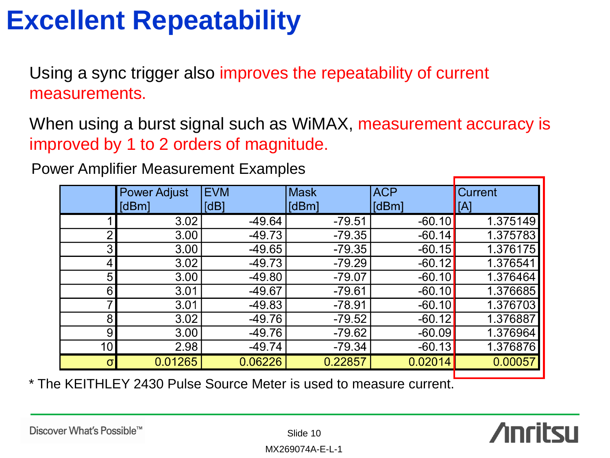Using a sync trigger also improves the repeatability of current measurements.

When using a burst signal such as WiMAX, measurement accuracy is improved by 1 to 2 orders of magnitude.

Power Amplifier Measurement Examples

|                | <b>Power Adjust</b> | <b>EVM</b> | <b>Mask</b> | <b>ACP</b> | <b>Current</b> |
|----------------|---------------------|------------|-------------|------------|----------------|
|                | [dBm]               | [dB]       | [dBm]       | [dBm]      | [A]            |
|                | 3.02                | $-49.64$   | $-79.51$    | $-60.10$   | 1.375149       |
| $\overline{2}$ | 3.00                | $-49.73$   | $-79.35$    | $-60.14$   | 1.375783       |
| 3              | 3.00                | $-49.65$   | $-79.35$    | $-60.15$   | 1.376175       |
| 4              | 3.02                | $-49.73$   | $-79.29$    | $-60.12$   | 1.376541       |
| 5              | 3.00                | $-49.80$   | $-79.07$    | $-60.10$   | 1.376464       |
| 6              | 3.01                | $-49.67$   | $-79.61$    | $-60.10$   | 1.376685       |
| 7              | 3.01                | $-49.83$   | $-78.91$    | $-60.10$   | 1.376703       |
| 8              | 3.02                | $-49.76$   | $-79.52$    | $-60.12$   | 1.376887       |
| 9              | 3.00                | $-49.76$   | $-79.62$    | $-60.09$   | 1.376964       |
| 10             | 2.98                | -49.74     | $-79.34$    | $-60.13$   | 1.376876       |
| $\sigma$       | 0.01265             | 0.06226    | 0.22857     | 0.02014    | 0.00057        |

\* The KEITHLEY 2430 Pulse Source Meter is used to measure current.

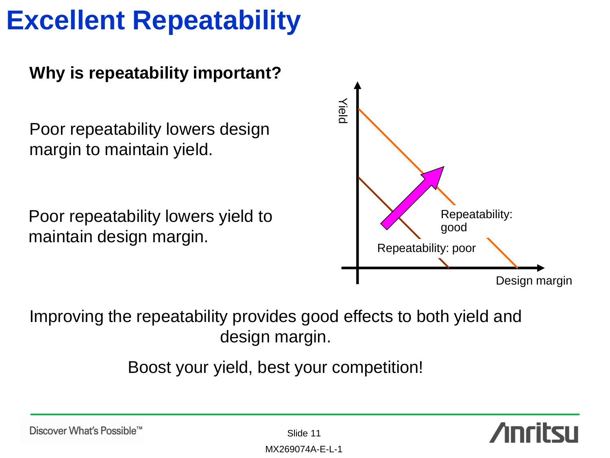### **Why is repeatability important?**

Poor repeatability lowers design margin to maintain yield.

Poor repeatability lowers yield to maintain design margin.



Improving the repeatability provides good effects to both yield and design margin.

Boost your yield, best your competition!

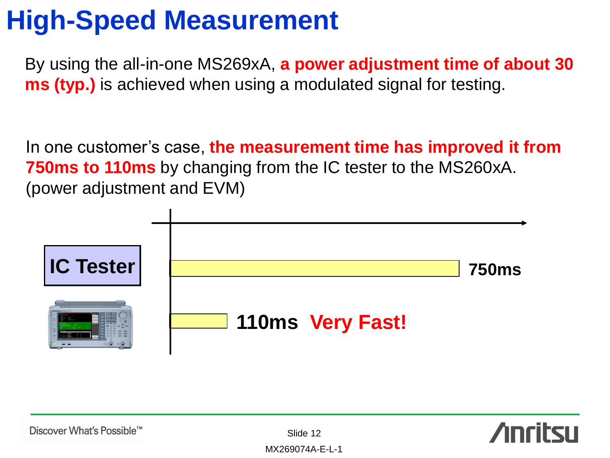### **High-Speed Measurement**

By using the all-in-one MS269xA, **a power adjustment time of about 30 ms (typ.)** is achieved when using a modulated signal for testing.

In one customer's case, **the measurement time has improved it from 750ms to 110ms** by changing from the IC tester to the MS260xA. (power adjustment and EVM)



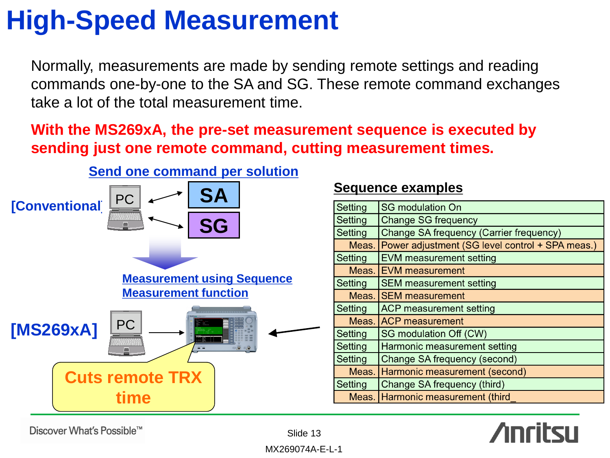## **High-Speed Measurement**

Normally, measurements are made by sending remote settings and reading commands one-by-one to the SA and SG. These remote command exchanges take a lot of the total measurement time.

**With the MS269xA, the pre-set measurement sequence is executed by sending just one remote command, cutting measurement times.**



### **Sequence examples**

| Setting | <b>SG</b> modulation On                               |
|---------|-------------------------------------------------------|
| Setting | <b>Change SG frequency</b>                            |
| Setting | Change SA frequency (Carrier frequency)               |
|         | Meas. Power adjustment (SG level control + SPA meas.) |
| Setting | <b>EVM measurement setting</b>                        |
|         | Meas. EVM measurement                                 |
| Setting | <b>SEM measurement setting</b>                        |
|         | Meas. SEM measurement                                 |
| Setting | <b>ACP measurement setting</b>                        |
|         | Meas. ACP measurement                                 |
| Setting | SG modulation Off (CW)                                |
| Setting | Harmonic measurement setting                          |
| Setting | Change SA frequency (second)                          |
| Meas.   | Harmonic measurement (second)                         |
| Setting | Change SA frequency (third)                           |
|         | Meas. Harmonic measurement (third                     |



Discover What's Possible™

Slide 13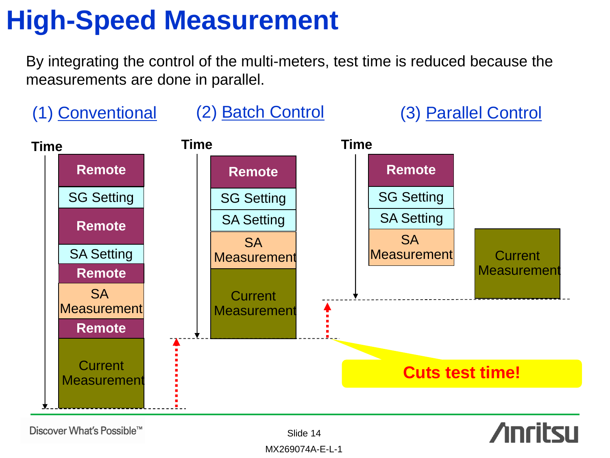### **High-Speed Measurement**

By integrating the control of the multi-meters, test time is reduced because the measurements are done in parallel.



Discover What's Possible™

Slide 14

**Anritsu**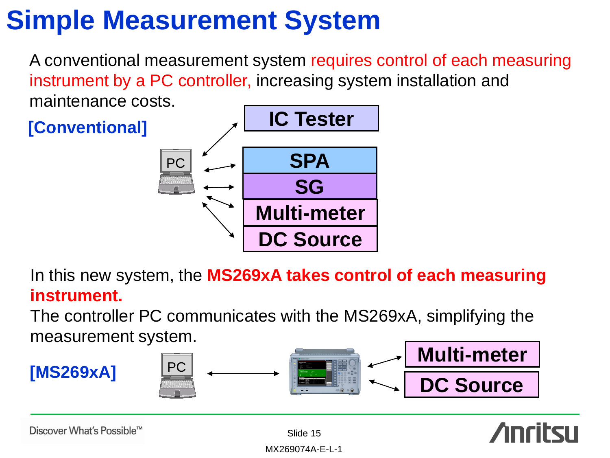## **Simple Measurement System**

A conventional measurement system requires control of each measuring instrument by a PC controller, increasing system installation and maintenance costs.



In this new system, the **MS269xA takes control of each measuring instrument.** 

The controller PC communicates with the MS269xA, simplifying the measurement system.



Discover What's Possible™

Slide 15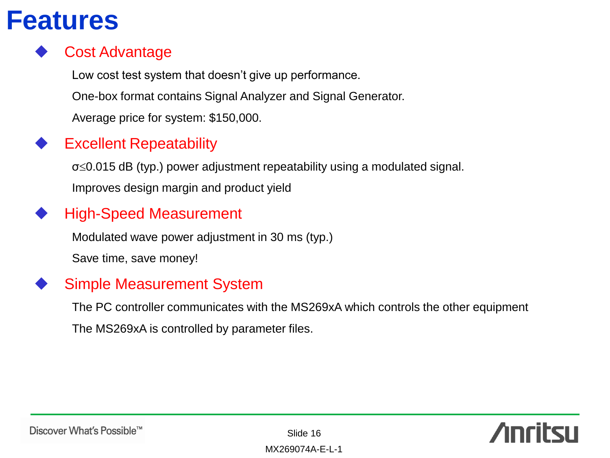### **Features**

### Cost Advantage

Low cost test system that doesn't give up performance.

One-box format contains Signal Analyzer and Signal Generator.

Average price for system: \$150,000.

### Excellent Repeatability

 $\sigma \leq 0.015$  dB (typ.) power adjustment repeatability using a modulated signal. Improves design margin and product yield

### High-Speed Measurement

Modulated wave power adjustment in 30 ms (typ.) Save time, save money!

### Simple Measurement System

The PC controller communicates with the MS269xA which controls the other equipment The MS269xA is controlled by parameter files.

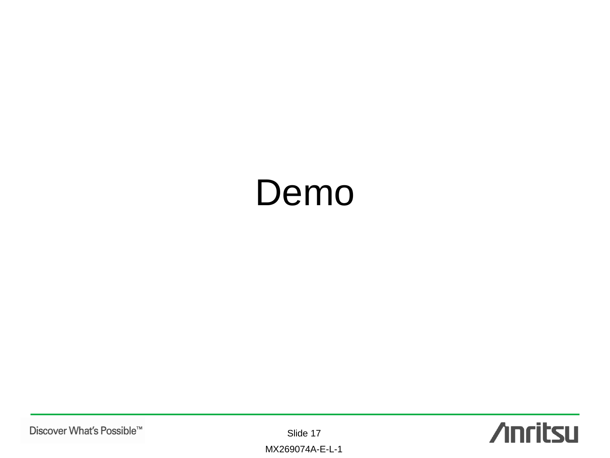# Demo

Slide 17

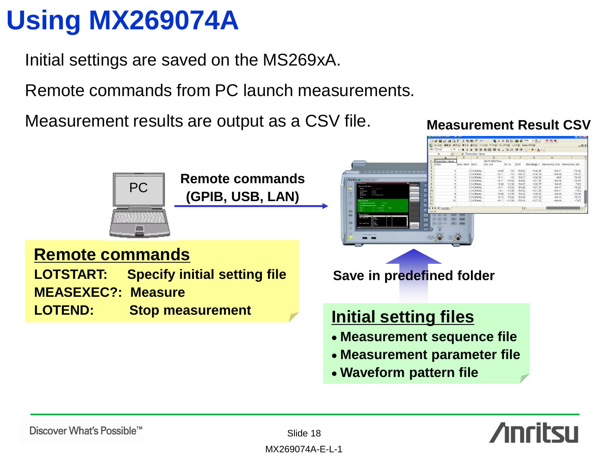## **Using MX269074A**

Initial settings are saved on the MS269xA.

Remote commands from PC launch measurements.

Measurement results are output as a CSV file. **Measurement Result CSV** 



**Waveform pattern file**



Slide 18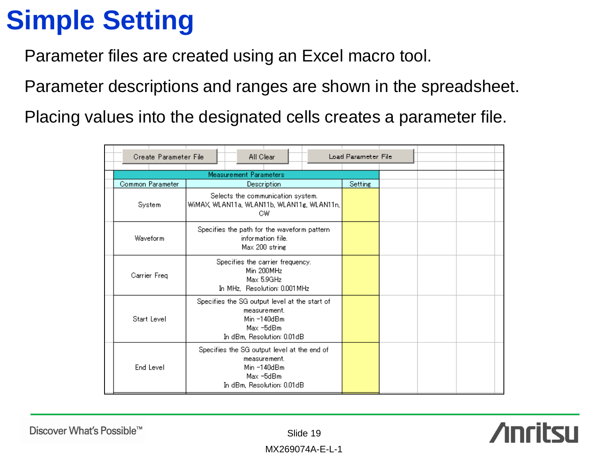## **Simple Setting**

Parameter files are created using an Excel macro tool.

Parameter descriptions and ranges are shown in the spreadsheet.

Placing values into the designated cells creates a parameter file.

| Create Parameter File |                               | All Clear                                                                                                                 |  | Load Parameter File |  |  |
|-----------------------|-------------------------------|---------------------------------------------------------------------------------------------------------------------------|--|---------------------|--|--|
|                       | <b>Measurement Parameters</b> |                                                                                                                           |  |                     |  |  |
| Common Parameter      |                               | <b>Description</b>                                                                                                        |  | <b>Setting</b>      |  |  |
| System                |                               | Selects the communication system.<br>WiMAX, WLAN11a, WLAN11b, WLAN11g, WLAN11n,<br>C₩                                     |  |                     |  |  |
| Waveform              |                               | Specifies the path for the waveform pattern<br>information file.<br>Max 200 string                                        |  |                     |  |  |
| Carrier Freq          |                               | Specifies the carrier frequency.<br>Min 200MHz<br>Max 5.9GHz<br>In MHz. Resolution: 0.001 MHz                             |  |                     |  |  |
| Start Level           |                               | Specifies the SG output level at the start of<br>measurement.<br>Min $-140dBm$<br>Max -5dBm<br>In dBm, Resolution: 0.01dB |  |                     |  |  |
| End Level             |                               | Specifies the SG output level at the end of<br>measurement.<br>Min $-140dBm$<br>Max -5dBm<br>In dBm, Resolution: 0.01dB   |  |                     |  |  |

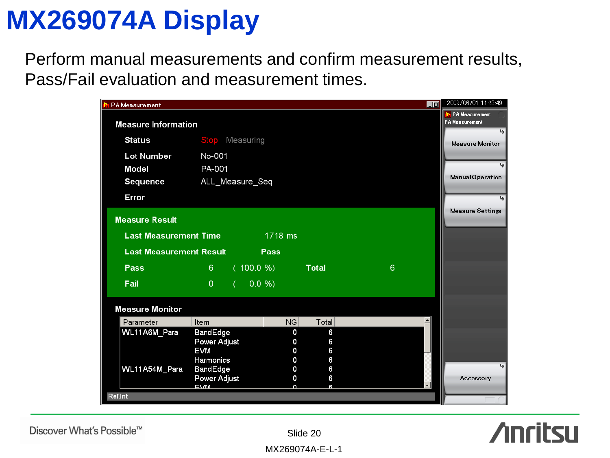### **MX269074A Display**

Perform manual measurements and confirm measurement results, Pass/Fail evaluation and measurement times.

| <b>PA Measurement</b>          |                     |           |           |              | $\blacksquare$ | 2009/06/01 11:23:49                    |
|--------------------------------|---------------------|-----------|-----------|--------------|----------------|----------------------------------------|
| <b>Measure Information</b>     |                     |           |           |              |                | PA Measurement<br>PA Measurement<br>پا |
| <b>Status</b>                  | <b>Stop</b>         | Measuring |           |              |                | Measure Monitor                        |
| <b>Lot Number</b>              | No-001              |           |           |              |                |                                        |
| <b>Model</b>                   | PA-001              |           |           |              |                |                                        |
| <b>Sequence</b>                | ALL_Measure_Seq     |           |           |              |                | Manual Operation                       |
| Error                          |                     |           |           |              |                |                                        |
| <b>Measure Result</b>          |                     |           |           |              |                | <b>Measure Settings</b>                |
|                                |                     |           |           |              |                |                                        |
| <b>Last Measurement Time</b>   |                     |           | 1718 ms   |              |                |                                        |
| <b>Last Measurement Result</b> |                     |           | Pass      |              |                |                                        |
| Pass                           | 6                   | (100.0 %) |           | <b>Total</b> | 6              |                                        |
| Fail                           | $\Omega$            | 0.0 %     |           |              |                |                                        |
| <b>Measure Monitor</b>         |                     |           |           |              |                |                                        |
| Parameter                      | Item                |           | <b>NG</b> | Total        |                |                                        |
| WL11A6M_Para                   | BandEdge            |           | 0         | 6            |                |                                        |
|                                | Power Adjust<br>EVM |           | 0<br>O    | 6            |                |                                        |
|                                | Harmonics           |           | 0         | 6<br>6       |                |                                        |
| WL11A54M_Para                  | BandEdge            |           | 0         | 6            |                | يجا                                    |
|                                | Power Adjust        |           | 0         | 6            |                | Accessory                              |
|                                | <b>EVM</b>          |           | n         | R            | 회              |                                        |
| Ref.Int                        |                     |           |           |              |                |                                        |



Discover What's Possible™

Slide 20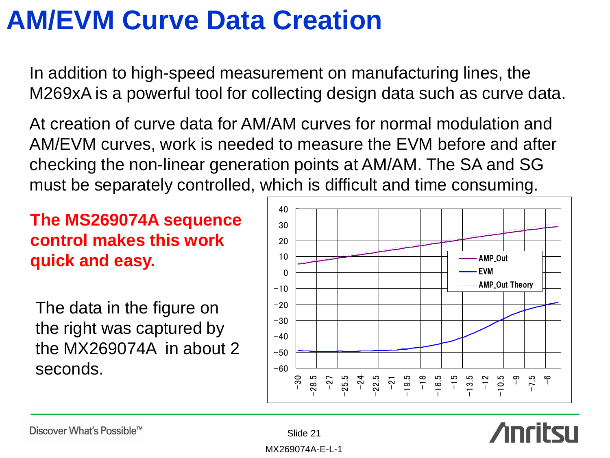## **AM/EVM Curve Data Creation**

In addition to high-speed measurement on manufacturing lines, the M269xA is a powerful tool for collecting design data such as curve data.

At creation of curve data for AM/AM curves for normal modulation and AM/EVM curves, work is needed to measure the EVM before and after checking the non-linear generation points at AM/AM. The SA and SG must be separately controlled, which is difficult and time consuming.

**The MS269074A sequence control makes this work quick and easy.**

The data in the figure on the right was captured by the MX269074A in about 2 seconds.



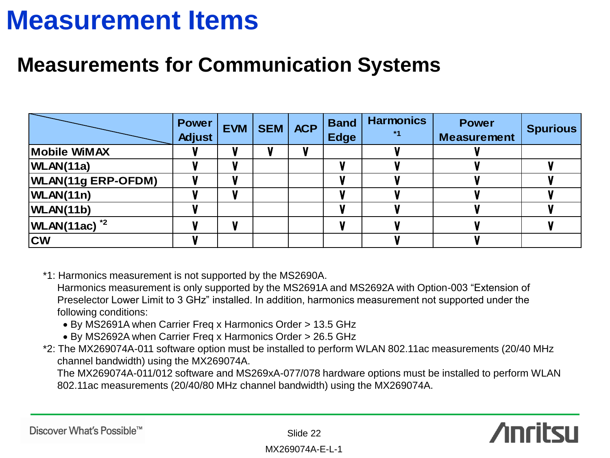### **Measurement Items**

### **Measurements for Communication Systems**

|                           | <b>Power</b><br><b>Adjust</b> | <b>EVM</b> | SEM | <b>ACP</b> | <b>Band</b><br><b>Edge</b> | <b>Harmonics</b><br>$*1$ | <b>Power</b><br><b>Measurement</b> | <b>Spurious</b> |
|---------------------------|-------------------------------|------------|-----|------------|----------------------------|--------------------------|------------------------------------|-----------------|
| Mobile WiMAX              |                               |            |     |            |                            |                          |                                    |                 |
| WLAN(11a)                 |                               |            |     |            |                            |                          |                                    |                 |
| <b>WLAN(11g ERP-OFDM)</b> |                               |            |     |            |                            |                          |                                    |                 |
| WLAN(11n)                 |                               |            |     |            |                            |                          |                                    |                 |
| WLAN(11b)                 |                               |            |     |            |                            |                          |                                    |                 |
| $WLAN(11ac)^{2}$          |                               |            |     |            |                            |                          |                                    |                 |
| <b>CW</b>                 |                               |            |     |            |                            |                          |                                    |                 |

\*1: Harmonics measurement is not supported by the MS2690A.

 Harmonics measurement is only supported by the MS2691A and MS2692A with Option-003 "Extension of Preselector Lower Limit to 3 GHz" installed. In addition, harmonics measurement not supported under the following conditions:

- By MS2691A when Carrier Freq x Harmonics Order > 13.5 GHz
- By MS2692A when Carrier Freq x Harmonics Order > 26.5 GHz
- \*2: The MX269074A-011 software option must be installed to perform WLAN 802.11ac measurements (20/40 MHz channel bandwidth) using the MX269074A.

 The MX269074A-011/012 software and MS269xA-077/078 hardware options must be installed to perform WLAN 802.11ac measurements (20/40/80 MHz channel bandwidth) using the MX269074A.

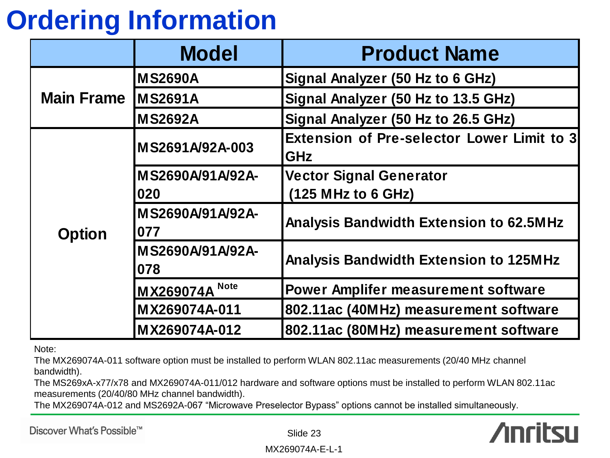## **Ordering Information**

|                            | <b>Model</b>            | <b>Product Name</b>                                      |  |  |
|----------------------------|-------------------------|----------------------------------------------------------|--|--|
|                            | <b>MS2690A</b>          | Signal Analyzer (50 Hz to 6 GHz)                         |  |  |
| <b>Main Frame IMS2691A</b> |                         | Signal Analyzer (50 Hz to 13.5 GHz)                      |  |  |
|                            | <b>MS2692A</b>          | Signal Analyzer (50 Hz to 26.5 GHz)                      |  |  |
| <b>Option</b>              | MS2691A/92A-003         | Extension of Pre-selector Lower Limit to 3<br><b>GHz</b> |  |  |
|                            | MS2690A/91A/92A-        | <b>Vector Signal Generator</b>                           |  |  |
|                            | 020                     | (125 MHz to 6 GHz)                                       |  |  |
|                            | MS2690A/91A/92A-<br>077 | <b>Analysis Bandwidth Extension to 62.5MHz</b>           |  |  |
|                            | MS2690A/91A/92A-<br>078 | <b>Analysis Bandwidth Extension to 125MHz</b>            |  |  |
|                            | <b>MX269074A</b> Note   | <b>Power Amplifer measurement software</b>               |  |  |
|                            | MX269074A-011           | 802.11ac (40MHz) measurement software                    |  |  |
|                            | MX269074A-012           | 802.11ac (80MHz) measurement software                    |  |  |

Note:

The MX269074A-011 software option must be installed to perform WLAN 802.11ac measurements (20/40 MHz channel bandwidth).

The MS269xA-x77/x78 and MX269074A-011/012 hardware and software options must be installed to perform WLAN 802.11ac measurements (20/40/80 MHz channel bandwidth).

The MX269074A-012 and MS2692A-067 "Microwave Preselector Bypass" options cannot be installed simultaneously.

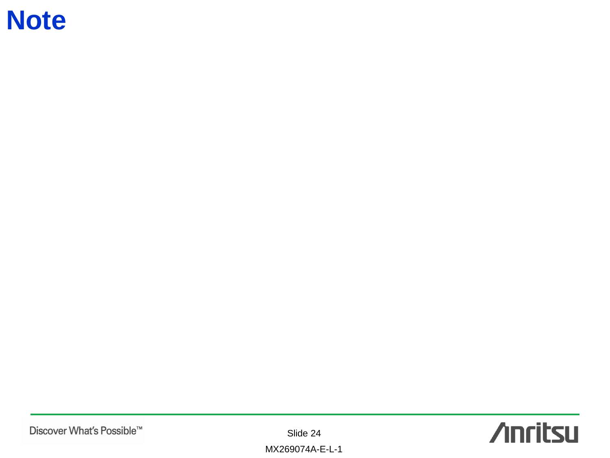### **Note**

Slide 24